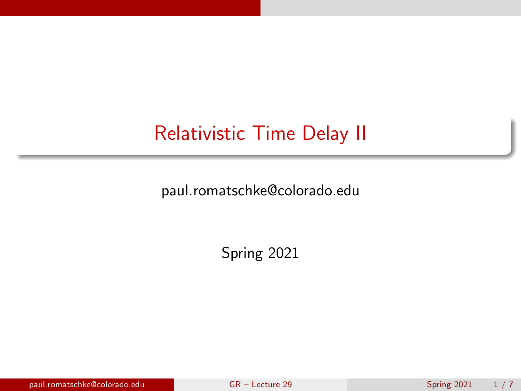# <span id="page-0-0"></span>Relativistic Time Delay II

paul.romatschke@colorado.edu

Spring 2021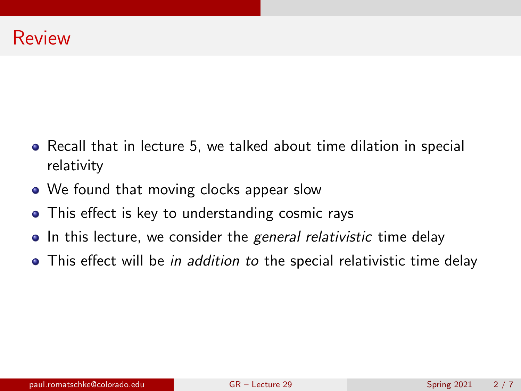- Recall that in lecture 5, we talked about time dilation in special relativity
- We found that moving clocks appear slow
- This effect is key to understanding cosmic rays
- In this lecture, we consider the general relativistic time delay
- This effect will be *in addition to the special relativistic time delay*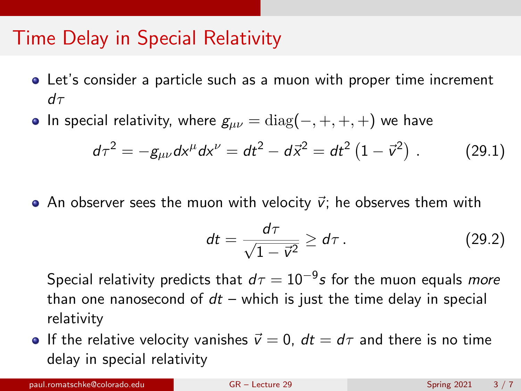### Time Delay in Special Relativity

- Let's consider a particle such as a muon with proper time increment  $d\tau$
- In special relativity, where  $g_{\mu\nu} = \text{diag}(-, +, +, +)$  we have

$$
d\tau^2 = -g_{\mu\nu}dx^{\mu}dx^{\nu} = dt^2 - d\vec{x}^2 = dt^2\left(1 - \vec{v}^2\right).
$$
 (29.1)

• An observer sees the muon with velocity  $\vec{v}$ ; he observes them with

$$
dt = \frac{d\tau}{\sqrt{1-\vec{v}^2}} \geq d\tau \,.
$$
 (29.2)

Special relativity predicts that  $d\tau=10^{-9}$ s for the muon equals *more* than one nanosecond of  $dt$  – which is just the time delay in special relativity

**If the relative velocity vanishes**  $\vec{v} = 0$ **,**  $dt = d\tau$  **and there is no time** delay in special relativity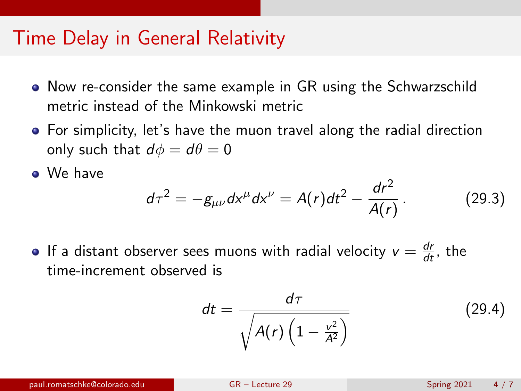#### Time Delay in General Relativity

- Now re-consider the same example in GR using the Schwarzschild metric instead of the Minkowski metric
- For simplicity, let's have the muon travel along the radial direction only such that  $d\phi = d\theta = 0$

We have

$$
d\tau^2 = -g_{\mu\nu}dx^{\mu}dx^{\nu} = A(r)dt^2 - \frac{dr^2}{A(r)}.
$$
 (29.3)

If a distant observer sees muons with radial velocity  $v = \frac{dr}{dt}$ , the time-increment observed is

$$
dt = \frac{d\tau}{\sqrt{A(r)\left(1 - \frac{v^2}{A^2}\right)}}\tag{29.4}
$$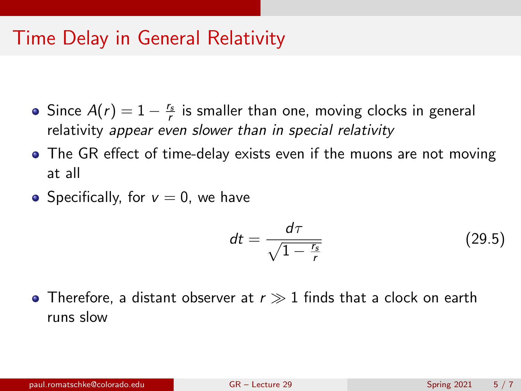### Time Delay in General Relativity

- Since  $A(r) = 1 \frac{r_s}{r}$  is smaller than one, moving clocks in general relativity appear even slower than in special relativity
- The GR effect of time-delay exists even if the muons are not moving at all
- Specifically, for  $v = 0$ , we have

$$
dt = \frac{d\tau}{\sqrt{1 - \frac{r_s}{r}}}
$$
(29.5)

• Therefore, a distant observer at  $r \gg 1$  finds that a clock on earth runs slow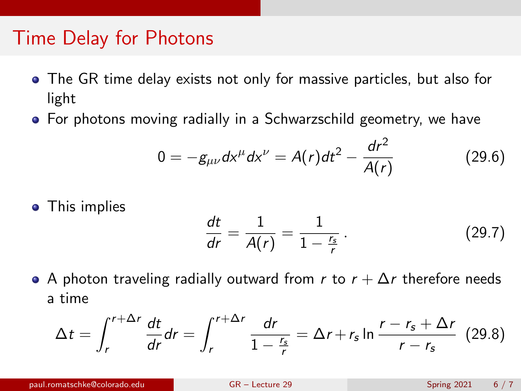### Time Delay for Photons

- The GR time delay exists not only for massive particles, but also for light
- For photons moving radially in a Schwarzschild geometry, we have

$$
0 = -g_{\mu\nu}dx^{\mu}dx^{\nu} = A(r)dt^2 - \frac{dr^2}{A(r)}
$$
 (29.6)

• This implies

$$
\frac{dt}{dr} = \frac{1}{A(r)} = \frac{1}{1 - \frac{r_s}{r}}.
$$
 (29.7)

A photon traveling radially outward from r to  $r + \Delta r$  therefore needs a time

$$
\Delta t = \int_{r}^{r+\Delta r} \frac{dt}{dr} dr = \int_{r}^{r+\Delta r} \frac{dr}{1-\frac{r_s}{r}} = \Delta r + r_s \ln \frac{r-r_s+\Delta r}{r-r_s} \tag{29.8}
$$